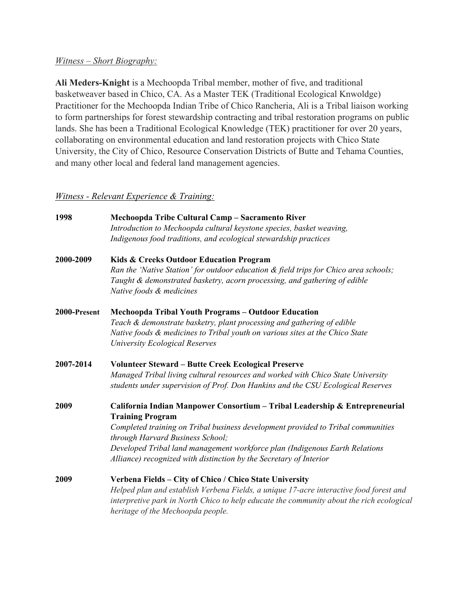## *Witness – Short Biography:*

**Ali Meders-Knight** is a Mechoopda Tribal member, mother of five, and traditional basketweaver based in Chico, CA. As a Master TEK (Traditional Ecological Knwoldge) Practitioner for the Mechoopda Indian Tribe of Chico Rancheria, Ali is a Tribal liaison working to form partnerships for forest stewardship contracting and tribal restoration programs on public lands. She has been a Traditional Ecological Knowledge (TEK) practitioner for over 20 years, collaborating on environmental education and land restoration projects with Chico State University, the City of Chico, Resource Conservation Districts of Butte and Tehama Counties, and many other local and federal land management agencies.

# *Witness - Relevant Experience & Training:*

| 1998         | Mechoopda Tribe Cultural Camp - Sacramento River                                         |
|--------------|------------------------------------------------------------------------------------------|
|              | Introduction to Mechoopda cultural keystone species, basket weaving,                     |
|              | Indigenous food traditions, and ecological stewardship practices                         |
| 2000-2009    | Kids & Creeks Outdoor Education Program                                                  |
|              | Ran the 'Native Station' for outdoor education & field trips for Chico area schools;     |
|              | Taught & demonstrated basketry, acorn processing, and gathering of edible                |
|              | Native foods & medicines                                                                 |
| 2000-Present | <b>Mechoopda Tribal Youth Programs - Outdoor Education</b>                               |
|              | Teach & demonstrate basketry, plant processing and gathering of edible                   |
|              | Native foods & medicines to Tribal youth on various sites at the Chico State             |
|              | University Ecological Reserves                                                           |
| 2007-2014    | <b>Volunteer Steward - Butte Creek Ecological Preserve</b>                               |
|              | Managed Tribal living cultural resources and worked with Chico State University          |
|              | students under supervision of Prof. Don Hankins and the CSU Ecological Reserves          |
| 2009         | California Indian Manpower Consortium - Tribal Leadership & Entrepreneurial              |
|              | <b>Training Program</b>                                                                  |
|              | Completed training on Tribal business development provided to Tribal communities         |
|              | through Harvard Business School;                                                         |
|              | Developed Tribal land management workforce plan (Indigenous Earth Relations              |
|              | Alliance) recognized with distinction by the Secretary of Interior                       |
| 2009         | Verbena Fields - City of Chico / Chico State University                                  |
|              | Helped plan and establish Verbena Fields, a unique 17-acre interactive food forest and   |
|              | interpretive park in North Chico to help educate the community about the rich ecological |
|              | heritage of the Mechoopda people.                                                        |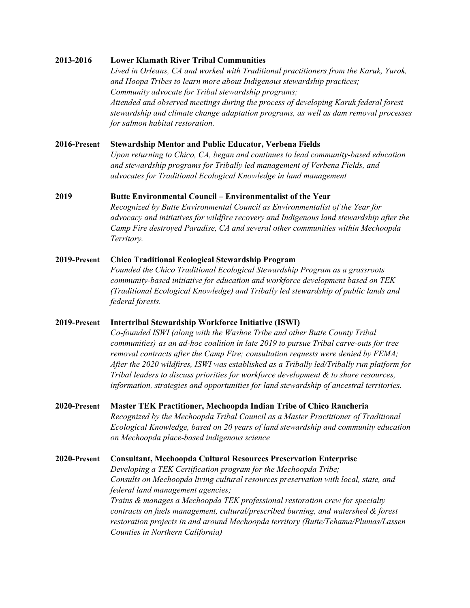#### **2013-2016 Lower Klamath River Tribal Communities**

*Lived in Orleans, CA and worked with Traditional practitioners from the Karuk, Yurok, and Hoopa Tribes to learn more about Indigenous stewardship practices; Community advocate for Tribal stewardship programs; Attended and observed meetings during the process of developing Karuk federal forest stewardship and climate change adaptation programs, as well as dam removal processes for salmon habitat restoration.*

#### **2016-Present Stewardship Mentor and Public Educator, Verbena Fields**

*Upon returning to Chico, CA, began and continues to lead community-based education and stewardship programs for Tribally led management of Verbena Fields, and advocates for Traditional Ecological Knowledge in land management*

### **2019 Butte Environmental Council – Environmentalist of the Year**

*Recognized by Butte Environmental Council as Environmentalist of the Year for advocacy and initiatives for wildfire recovery and Indigenous land stewardship after the Camp Fire destroyed Paradise, CA and several other communities within Mechoopda Territory.*

# **2019-Present Chico Traditional Ecological Stewardship Program**

*Founded the Chico Traditional Ecological Stewardship Program as a grassroots community-based initiative for education and workforce development based on TEK (Traditional Ecological Knowledge) and Tribally led stewardship of public lands and federal forests.*

#### **2019-Present Intertribal Stewardship Workforce Initiative (ISWI)**

*Co-founded ISWI (along with the Washoe Tribe and other Butte County Tribal communities) as an ad-hoc coalition in late 2019 to pursue Tribal carve-outs for tree removal contracts after the Camp Fire; consultation requests were denied by FEMA; After the 2020 wildfires, ISWI was established as a Tribally led/Tribally run platform for Tribal leaders to discuss priorities for workforce development & to share resources, information, strategies and opportunities for land stewardship of ancestral territories.*

## **2020-Present Master TEK Practitioner, Mechoopda Indian Tribe of Chico Rancheria** *Recognized by the Mechoopda Tribal Council as a Master Practitioner of Traditional Ecological Knowledge, based on 20 years of land stewardship and community education on Mechoopda place-based indigenous science*

**2020-Present Consultant, Mechoopda Cultural Resources Preservation Enterprise** *Developing a TEK Certification program for the Mechoopda Tribe; Consults on Mechoopda living cultural resources preservation with local, state, and federal land management agencies; Trains & manages a Mechoopda TEK professional restoration crew for specialty contracts on fuels management, cultural/prescribed burning, and watershed & forest restoration projects in and around Mechoopda territory (Butte/Tehama/Plumas/Lassen Counties in Northern California)*